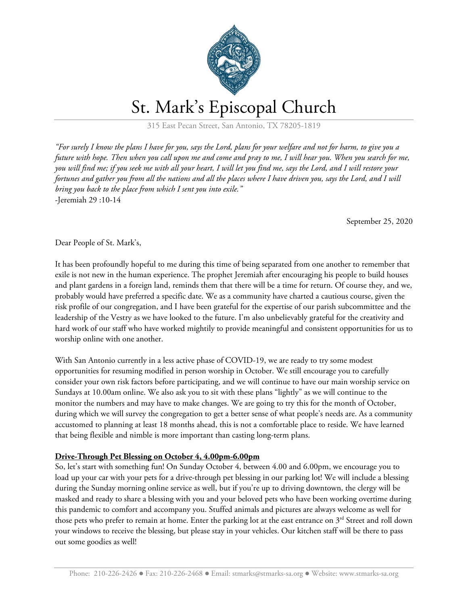

## St. Mark's Episcopal Church

315 East Pecan Street, San Antonio, TX 78205-1819

"For surely I know the plans I have for you, says the Lord, plans for your welfare and not for harm, to give you a future with hope. Then when you call upon me and come and pray to me, I will hear you. When you search for me, you will find me; if you seek me with all your heart, I will let you find me, says the Lord, and I will restore your fortunes and gather you from all the nations and all the places where I have driven you, says the Lord, and I will *bring you back to the place from which I sent you into exile."* -Jeremiah 29 :10-14

September 25, 2020

Dear People of St. Mark's,

It has been profoundly hopeful to me during this time of being separated from one another to remember that exile is not new in the human experience. The prophet Jeremiah after encouraging his people to build houses and plant gardens in a foreign land, reminds them that there will be a time for return. Of course they, and we, probably would have preferred a specific date. We as a community have charted a cautious course, given the risk profile of our congregation, and I have been grateful for the expertise of our parish subcommittee and the leadership of the Vestry as we have looked to the future. I'm also unbelievably grateful for the creativity and hard work of our staff who have worked mightily to provide meaningful and consistent opportunities for us to worship online with one another.

With San Antonio currently in a less active phase of COVID-19, we are ready to try some modest opportunities for resuming modified in person worship in October. We still encourage you to carefully consider your own risk factors before participating, and we will continue to have our main worship service on Sundays at 10.00am online. We also ask you to sit with these plans "lightly" as we will continue to the monitor the numbers and may have to make changes. We are going to try this for the month of October, during which we will survey the congregation to get a better sense of what people's needs are. As a community accustomed to planning at least 18 months ahead, this is not a comfortable place to reside. We have learned that being flexible and nimble is more important than casting long-term plans.

## **Drive-Through Pet Blessing on October 4, 4.00pm-6.00pm**

So, let's start with something fun! On Sunday October 4, between 4.00 and 6.00pm, we encourage you to load up your car with your pets for a drive-through pet blessing in our parking lot! We will include a blessing during the Sunday morning online service as well, but if you're up to driving downtown, the clergy will be masked and ready to share a blessing with you and your beloved pets who have been working overtime during this pandemic to comfort and accompany you. Stuffed animals and pictures are always welcome as well for those pets who prefer to remain at home. Enter the parking lot at the east entrance on  $3<sup>rd</sup>$  Street and roll down your windows to receive the blessing, but please stay in your vehicles. Our kitchen staff will be there to pass out some goodies as well!